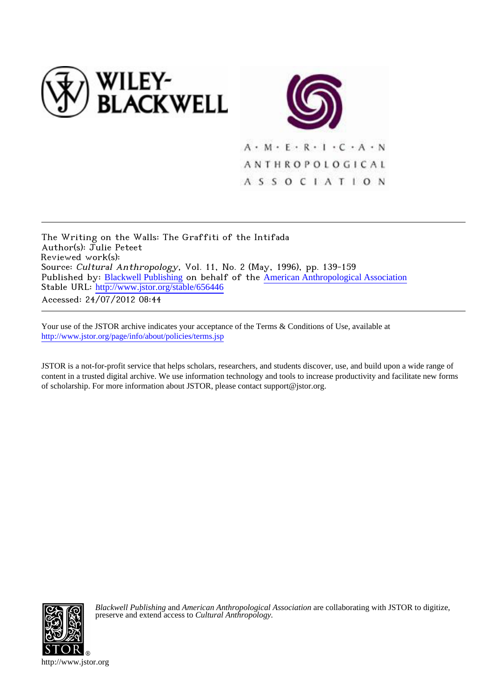



The Writing on the Walls: The Graffiti of the Intifada Author(s): Julie Peteet Reviewed work(s): Source: Cultural Anthropology, Vol. 11, No. 2 (May, 1996), pp. 139-159 Published by: [Blackwell Publishing](http://www.jstor.org/action/showPublisher?publisherCode=black) on behalf of the [American Anthropological Association](http://www.jstor.org/action/showPublisher?publisherCode=anthro) Stable URL: http://www.jstor.org/stable/656446 Accessed: 24/07/2012 08:44

Your use of the JSTOR archive indicates your acceptance of the Terms & Conditions of Use, available at <http://www.jstor.org/page/info/about/policies/terms.jsp>

JSTOR is a not-for-profit service that helps scholars, researchers, and students discover, use, and build upon a wide range of content in a trusted digital archive. We use information technology and tools to increase productivity and facilitate new forms of scholarship. For more information about JSTOR, please contact support@jstor.org.



*Blackwell Publishing* and *American Anthropological Association* are collaborating with JSTOR to digitize, preserve and extend access to *Cultural Anthropology.*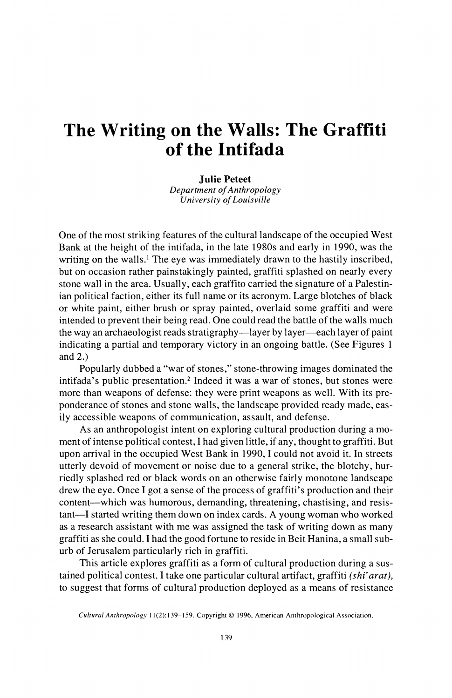# **The Writing on the Walls: The Graffiti of the Intifada**

#### **Julie Peteet**

**Department ofAnthropology University of Louisville** 

**One of the most striking features of the cultural landscape of the occupied West Bank at the height of the intifada, in the late 1980s and early in 1990, was the writing on the walls.' The eye was immediately drawn to the hastily inscribed, but on occasion rather painstakingly painted, graffiti splashed on nearly every stone wall in the area. Usually, each graffito carried the signature of a Palestinian political faction, either its full name or its acronym. Large blotches of black or white paint, either brush or spray painted, overlaid some graffiti and were intended to prevent their being read. One could read the battle of the walls much the way an archaeologist reads stratigraphy-layer by layer-each layer of paint indicating a partial and temporary victory in an ongoing battle. (See Figures 1 and 2.)** 

**Popularly dubbed a "war of stones," stone-throwing images dominated the intifada's public presentation.2 Indeed it was a war of stones, but stones were more than weapons of defense: they were print weapons as well. With its preponderance of stones and stone walls, the landscape provided ready made, easily accessible weapons of communication, assault, and defense.** 

**As an anthropologist intent on exploring cultural production during a moment of intense political contest, I had given little, if any, thought to graffiti. But upon arrival in the occupied West Bank in 1990, I could not avoid it. In streets utterly devoid of movement or noise due to a general strike, the blotchy, hurriedly splashed red or black words on an otherwise fairly monotone landscape drew the eye. Once I got a sense of the process of graffiti's production and their content-which was humorous, demanding, threatening, chastising, and resistant-I started writing them down on index cards. A young woman who worked as a research assistant with me was assigned the task of writing down as many graffiti as she could. I had the good fortune to reside in Beit Hanina, a small suburb of Jerusalem particularly rich in graffiti.** 

**This article explores graffiti as a form of cultural production during a sustained political contest. I take one particular cultural artifact, graffiti (shi'arat), to suggest that forms of cultural production deployed as a means of resistance** 

Cultural Anthropology 11(2):139-159. Copyright © 1996, American Anthropological Association.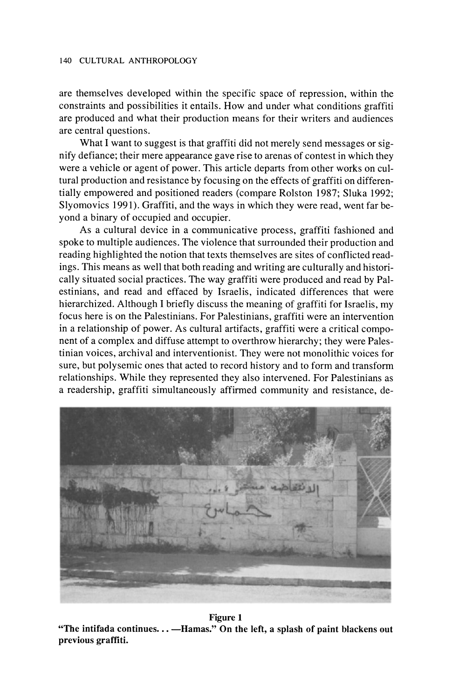**are themselves developed within the specific space of repression, within the constraints and possibilities it entails. How and under what conditions graffiti are produced and what their production means for their writers and audiences are central questions.** 

**What I want to suggest is that graffiti did not merely send messages or signify defiance; their mere appearance gave rise to arenas of contest in which they were a vehicle or agent of power. This article departs from other works on cultural production and resistance by focusing on the effects of graffiti on differentially empowered and positioned readers (compare Rolston 1987; Sluka 1992; Slyomovics 1991). Graffiti, and the ways in which they were read, went far beyond a binary of occupied and occupier.** 

**As a cultural device in a communicative process, graffiti fashioned and spoke to multiple audiences. The violence that surrounded their production and reading highlighted the notion that texts themselves are sites of conflicted readings. This means as well that both reading and writing are culturally and historically situated social practices. The way graffiti were produced and read by Palestinians, and read and effaced by Israelis, indicated differences that were hierarchized. Although I briefly discuss the meaning of graffiti for Israelis, my focus here is on the Palestinians. For Palestinians, graffiti were an intervention in a relationship of power. As cultural artifacts, graffiti were a critical component of a complex and diffuse attempt to overthrow hierarchy; they were Palestinian voices, archival and interventionist. They were not monolithic voices for sure, but polysemic ones that acted to record history and to form and transform relationships. While they represented they also intervened. For Palestinians as a readership, graffiti simultaneously affirmed community and resistance, de-**



#### **Figure 1**

"The intifada continues... -Hamas." On the left, a splash of paint blackens out **previous graffiti.**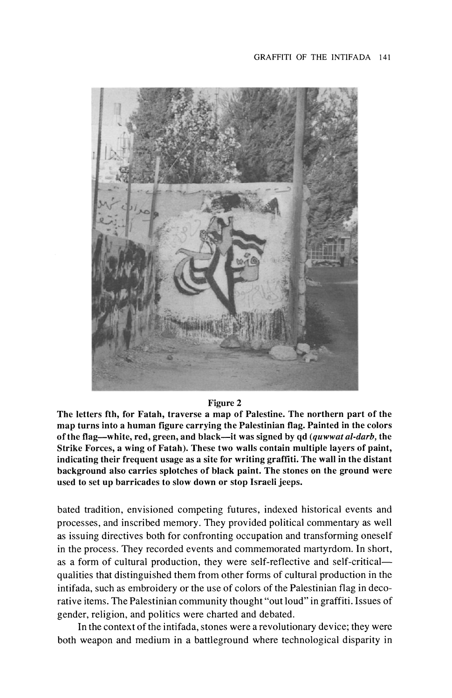

#### **Figure 2**

**The letters fth, for Fatah, traverse a map of Palestine. The northern part of the map turns into a human figure carrying the Palestinian flag. Painted in the colors of the flag-white, red, green, and black-it was signed by qd (quwwat al-darb, the Strike Forces, a wing of Fatah). These two walls contain multiple layers of paint, indicating their frequent usage as a site for writing graffiti. The wall in the distant background also carries splotches of black paint. The stones on the ground were used to set up barricades to slow down or stop Israeli jeeps.** 

**bated tradition, envisioned competing futures, indexed historical events and processes, and inscribed memory. They provided political commentary as well as issuing directives both for confronting occupation and transforming oneself in the process. They recorded events and commemorated martyrdom. In short, as a form of cultural production, they were self-reflective and self-criticalqualities that distinguished them from other forms of cultural production in the intifada, such as embroidery or the use of colors of the Palestinian flag in decorative items. The Palestinian community thought "out loud" in graffiti. Issues of gender, religion, and politics were charted and debated.** 

**In the context of the intifada, stones were a revolutionary device; they were both weapon and medium in a battleground where technological disparity in**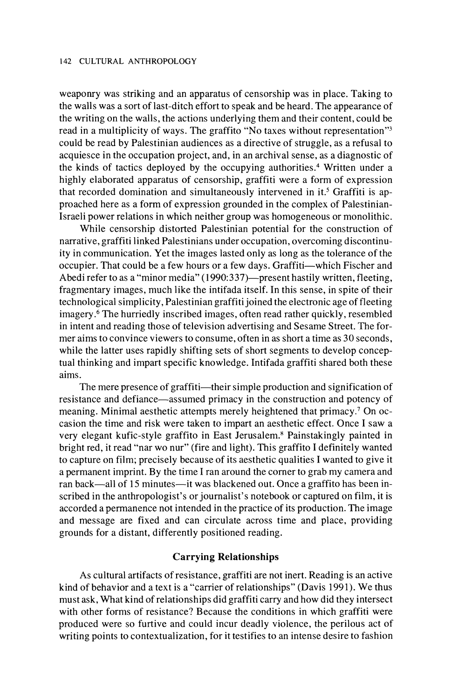**weaponry was striking and an apparatus of censorship was in place. Taking to the walls was a sort of last-ditch effort to speak and be heard. The appearance of the writing on the walls, the actions underlying them and their content, could be read in a multiplicity of ways. The graffito "No taxes without representation"3 could be read by Palestinian audiences as a directive of struggle, as a refusal to acquiesce in the occupation project, and, in an archival sense, as a diagnostic of the kinds of tactics deployed by the occupying authorities.4 Written under a highly elaborated apparatus of censorship, graffiti were a form of expression that recorded domination and simultaneously intervened in it.5 Graffiti is approached here as a form of expression grounded in the complex of Palestinian-Israeli power relations in which neither group was homogeneous or monolithic.** 

**While censorship distorted Palestinian potential for the construction of narrative, graffiti linked Palestinians under occupation, overcoming discontinuity in communication. Yet the images lasted only as long as the tolerance of the occupier. That could be a few hours or a few days. Graffiti-which Fischer and**  Abedi refer to as a "minor media" (1990:337)—present hastily written, fleeting, **fragmentary images, much like the intifada itself. In this sense, in spite of their technological simplicity, Palestinian graffiti joined the electronic age of fleeting imagery.6 The hurriedly inscribed images, often read rather quickly, resembled in intent and reading those of television advertising and Sesame Street. The former aims to convince viewers to consume, often in as short a time as 30 seconds, while the latter uses rapidly shifting sets of short segments to develop conceptual thinking and impart specific knowledge. Intifada graffiti shared both these aims.** 

The mere presence of graffiti—their simple production and signification of **resistance and defiance-assumed primacy in the construction and potency of meaning. Minimal aesthetic attempts merely heightened that primacy.7 On occasion the time and risk were taken to impart an aesthetic effect. Once I saw a very elegant kufic-style graffito in East Jerusalem.8 Painstakingly painted in bright red, it read "nar wo nur" (fire and light). This graffito I definitely wanted to capture on film; precisely because of its aesthetic qualities I wanted to give it a permanent imprint. By the time I ran around the corer to grab my camera and**  ran back—all of 15 minutes—it was blackened out. Once a graffito has been in**scribed in the anthropologist's or journalist's notebook or captured on film, it is accorded a permanence not intended in the practice of its production. The image and message are fixed and can circulate across time and place, providing grounds for a distant, differently positioned reading.** 

# **Carrying Relationships**

**As cultural artifacts of resistance, graffiti are not inert. Reading is an active kind of behavior and a text is a "carrier of relationships" (Davis 1991). We thus must ask, What kind of relationships did graffiti carry and how did they intersect with other forms of resistance? Because the conditions in which graffiti were produced were so furtive and could incur deadly violence, the perilous act of writing points to contextualization, for it testifies to an intense desire to fashion**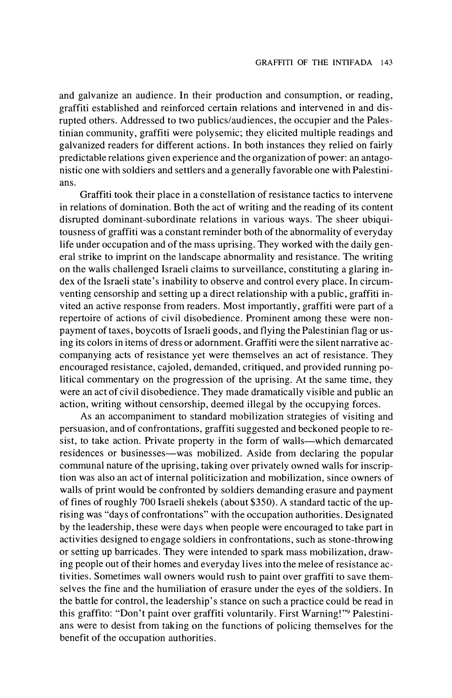**and galvanize an audience. In their production and consumption, or reading, graffiti established and reinforced certain relations and intervened in and disrupted others. Addressed to two publics/audiences, the occupier and the Palestinian community, graffiti were polysemic; they elicited multiple readings and galvanized readers for different actions. In both instances they relied on fairly predictable relations given experience and the organization of power: an antagonistic one with soldiers and settlers and a generally favorable one with Palestinians.** 

**Graffiti took their place in a constellation of resistance tactics to intervene in relations of domination. Both the act of writing and the reading of its content disrupted dominant-subordinate relations in various ways. The sheer ubiquitousness of graffiti was a constant reminder both of the abnormality of everyday life under occupation and of the mass uprising. They worked with the daily general strike to imprint on the landscape abnormality and resistance. The writing on the walls challenged Israeli claims to surveillance, constituting a glaring index of the Israeli state's inability to observe and control every place. In circumventing censorship and setting up a direct relationship with a public, graffiti invited an active response from readers. Most importantly, graffiti were part of a repertoire of actions of civil disobedience. Prominent among these were nonpayment of taxes, boycotts of Israeli goods, and flying the Palestinian flag or using its colors in items of dress or adornment. Graffiti were the silent narrative accompanying acts of resistance yet were themselves an act of resistance. They encouraged resistance, cajoled, demanded, critiqued, and provided running political commentary on the progression of the uprising. At the same time, they were an act of civil disobedience. They made dramatically visible and public an action, writing without censorship, deemed illegal by the occupying forces.** 

**As an accompaniment to standard mobilization strategies of visiting and persuasion, and of confrontations, graffiti suggested and beckoned people to re**sist, to take action. Private property in the form of walls-which demarcated residences or businesses—was mobilized. Aside from declaring the popular **communal nature of the uprising, taking over privately owned walls for inscription was also an act of internal politicization and mobilization, since owners of walls of print would be confronted by soldiers demanding erasure and payment of fines of roughly 700 Israeli shekels (about \$350). A standard tactic of the uprising was "days of confrontations" with the occupation authorities. Designated by the leadership, these were days when people were encouraged to take part in activities designed to engage soldiers in confrontations, such as stone-throwing or setting up barricades. They were intended to spark mass mobilization, drawing people out of their homes and everyday lives into the melee of resistance activities. Sometimes wall owners would rush to paint over graffiti to save themselves the fine and the humiliation of erasure under the eyes of the soldiers. In the battle for control, the leadership's stance on such a practice could be read in this graffito: "Don't paint over graffiti voluntarily. First Warning!"9 Palestinians were to desist from taking on the functions of policing themselves for the benefit of the occupation authorities.**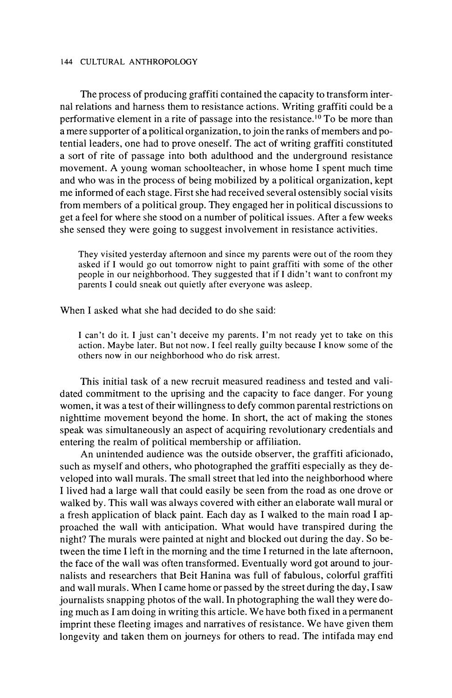**The process of producing graffiti contained the capacity to transform internal relations and harness them to resistance actions. Writing graffiti could be a performative element in a rite of passage into the resistance.'0 To be more than a mere supporter of a political organization, to join the ranks of members and potential leaders, one had to prove oneself. The act of writing graffiti constituted a sort of rite of passage into both adulthood and the underground resistance movement. A young woman schoolteacher, in whose home I spent much time and who was in the process of being mobilized by a political organization, kept me informed of each stage. First she had received several ostensibly social visits from members of a political group. They engaged her in political discussions to get a feel for where she stood on a number of political issues. After a few weeks she sensed they were going to suggest involvement in resistance activities.** 

**They visited yesterday afternoon and since my parents were out of the room they asked if I would go out tomorrow night to paint graffiti with some of the other people in our neighborhood. They suggested that if I didn't want to confront my parents I could sneak out quietly after everyone was asleep.** 

**When I asked what she had decided to do she said:** 

**I can't do it. I just can't deceive my parents. I'm not ready yet to take on this action. Maybe later. But not now. I feel really guilty because I know some of the others now in our neighborhood who do risk arrest.** 

**This initial task of a new recruit measured readiness and tested and validated commitment to the uprising and the capacity to face danger. For young women, it was a test of their willingness to defy common parental restrictions on nighttime movement beyond the home. In short, the act of making the stones speak was simultaneously an aspect of acquiring revolutionary credentials and entering the realm of political membership or affiliation.** 

**An unintended audience was the outside observer, the graffiti aficionado, such as myself and others, who photographed the graffiti especially as they developed into wall murals. The small street that led into the neighborhood where I lived had a large wall that could easily be seen from the road as one drove or walked by. This wall was always covered with either an elaborate wall mural or a fresh application of black paint. Each day as I walked to the main road I approached the wall with anticipation. What would have transpired during the night? The murals were painted at night and blocked out during the day. So between the time I left in the morning and the time I returned in the late afternoon, the face of the wall was often transformed. Eventually word got around to journalists and researchers that Beit Hanina was full of fabulous, colorful graffiti and wall murals. When I came home or passed by the street during the day, I saw journalists snapping photos of the wall. In photographing the wall they were doing much as I am doing in writing this article. We have both fixed in a permanent imprint these fleeting images and narratives of resistance. We have given them longevity and taken them on journeys for others to read. The intifada may end**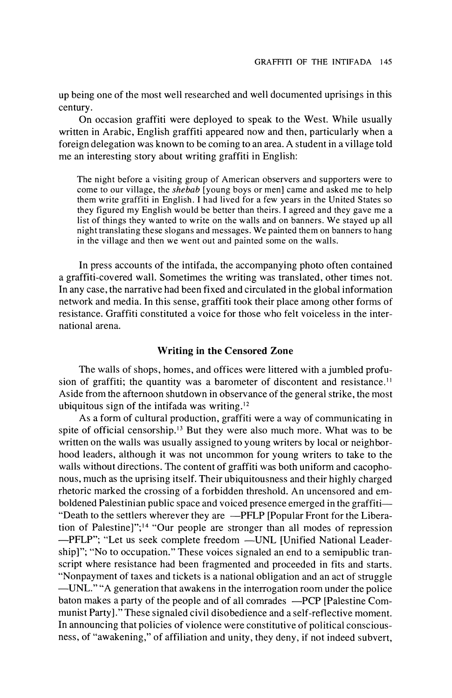**up being one of the most well researched and well documented uprisings in this century.** 

**On occasion graffiti were deployed to speak to the West. While usually written in Arabic, English graffiti appeared now and then, particularly when a foreign delegation was known to be coming to an area. A student in a village told me an interesting story about writing graffiti in English:** 

**The night before a visiting group of American observers and supporters were to come to our village, the shebab [young boys or men] came and asked me to help them write graffiti in English. I had lived for a few years in the United States so they figured my English would be better than theirs. I agreed and they gave me a list of things they wanted to write on the walls and on banners. We stayed up all night translating these slogans and messages. We painted them on banners to hang in the village and then we went out and painted some on the walls.** 

**In press accounts of the intifada, the accompanying photo often contained a graffiti-covered wall. Sometimes the writing was translated, other times not. In any case, the narrative had been fixed and circulated in the global information network and media. In this sense, graffiti took their place among other forms of resistance. Graffiti constituted a voice for those who felt voiceless in the international arena.** 

## **Writing in the Censored Zone**

**The walls of shops, homes, and offices were littered with a jumbled profusion of graffiti; the quantity was a barometer of discontent and resistance." Aside from the afternoon shutdown in observance of the general strike, the most ubiquitous sign of the intifada was writing.12** 

**As a form of cultural production, graffiti were a way of communicating in spite of official censorship.13 But they were also much more. What was to be written on the walls was usually assigned to young writers by local or neighborhood leaders, although it was not uncommon for young writers to take to the walls without directions. The content of graffiti was both uniform and cacophonous, much as the uprising itself. Their ubiquitousness and their highly charged rhetoric marked the crossing of a forbidden threshold. An uncensored and emboldened Palestinian public space and voiced presence emerged in the graffiti— "Death to the settlers wherever they are -PFLP [Popular Front for the Liberation of Palestine]";'4 "Our people are stronger than all modes of repression**  -PFLP"; "Let us seek complete freedom -UNL [Unified National Leader**ship]"; "No to occupation." These voices signaled an end to a semipublic transcript where resistance had been fragmented and proceeded in fits and starts. "Nonpayment of taxes and tickets is a national obligation and an act of struggle -UNL." "A generation that awakens in the interrogation room under the police**  baton makes a party of the people and of all comrades -PCP [Palestine Com**munist Party]." These signaled civil disobedience and a self-reflective moment. In announcing that policies of violence were constitutive of political consciousness, of "awakening," of affiliation and unity, they deny, if not indeed subvert,**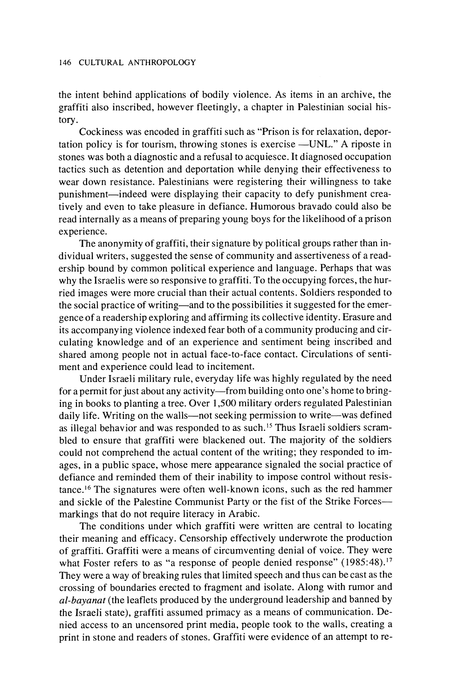**the intent behind applications of bodily violence. As items in an archive, the graffiti also inscribed, however fleetingly, a chapter in Palestinian social history.** 

**Cockiness was encoded in graffiti such as "Prison is for relaxation, depor**tation policy is for tourism, throwing stones is exercise —UNL." A riposte in **stones was both a diagnostic and a refusal to acquiesce. It diagnosed occupation tactics such as detention and deportation while denying their effectiveness to wear down resistance. Palestinians were registering their willingness to take**  punishment—indeed were displaying their capacity to defy punishment crea**tively and even to take pleasure in defiance. Humorous bravado could also be read internally as a means of preparing young boys for the likelihood of a prison experience.** 

**The anonymity of graffiti, their signature by political groups rather than individual writers, suggested the sense of community and assertiveness of a readership bound by common political experience and language. Perhaps that was why the Israelis were so responsive to graffiti. To the occupying forces, the hurried images were more crucial than their actual contents. Soldiers responded to the social practice of writing-and to the possibilities it suggested for the emergence of a readership exploring and affirming its collective identity. Erasure and its accompanying violence indexed fear both of a community producing and circulating knowledge and of an experience and sentiment being inscribed and shared among people not in actual face-to-face contact. Circulations of sentiment and experience could lead to incitement.** 

**Under Israeli military rule, everyday life was highly regulated by the need**  for a permit for just about any activity—from building onto one's home to bring**ing in books to planting a tree. Over 1,500 military orders regulated Palestinian**  daily life. Writing on the walls—not seeking permission to write—was defined **as illegal behavior and was responded to as such.'5 Thus Israeli soldiers scrambled to ensure that graffiti were blackened out. The majority of the soldiers could not comprehend the actual content of the writing; they responded to images, in a public space, whose mere appearance signaled the social practice of defiance and reminded them of their inability to impose control without resistance.'6 The signatures were often well-known icons, such as the red hammer and sickle of the Palestine Communist Party or the fist of the Strike Forcesmarkings that do not require literacy in Arabic.** 

**The conditions under which graffiti were written are central to locating their meaning and efficacy. Censorship effectively underwrote the production of graffiti. Graffiti were a means of circumventing denial of voice. They were what Foster refers to as "a response of people denied response" (1985:48).17 They were a way of breaking rules that limited speech and thus can be cast as the crossing of boundaries erected to fragment and isolate. Along with rumor and al-bayanat (the leaflets produced by the underground leadership and banned by the Israeli state), graffiti assumed primacy as a means of communication. Denied access to an uncensored print media, people took to the walls, creating a print in stone and readers of stones. Graffiti were evidence of an attempt to re-**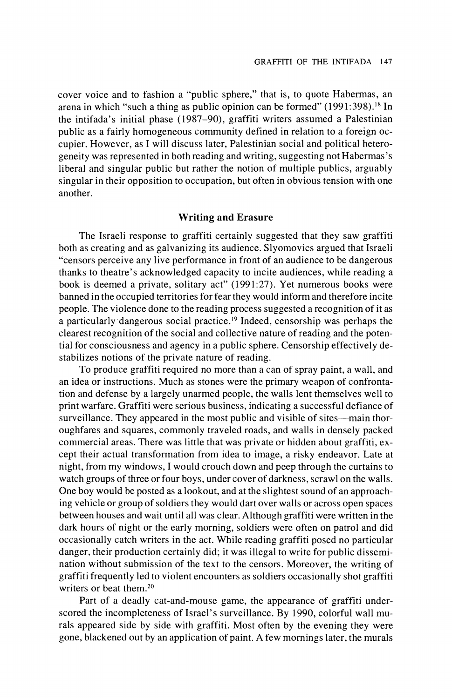**cover voice and to fashion a "public sphere," that is, to quote Habermas, an arena in which "such a thing as public opinion can be formed" (1991:398).'8 In the intifada's initial phase (1987-90), graffiti writers assumed a Palestinian public as a fairly homogeneous community defined in relation to a foreign occupier. However, as I will discuss later, Palestinian social and political heterogeneity was represented in both reading and writing, suggesting not Habermas's liberal and singular public but rather the notion of multiple publics, arguably singular in their opposition to occupation, but often in obvious tension with one another.** 

# **Writing and Erasure**

**The Israeli response to graffiti certainly suggested that they saw graffiti both as creating and as galvanizing its audience. Slyomovics argued that Israeli "censors perceive any live performance in front of an audience to be dangerous thanks to theatre's acknowledged capacity to incite audiences, while reading a book is deemed a private, solitary act" (1991:27). Yet numerous books were banned in the occupied territories for fear they would inform and therefore incite people. The violence done to the reading process suggested a recognition of it as a particularly dangerous social practice.19 Indeed, censorship was perhaps the clearest recognition of the social and collective nature of reading and the potential for consciousness and agency in a public sphere. Censorship effectively destabilizes notions of the private nature of reading.** 

**To produce graffiti required no more than a can of spray paint, a wall, and an idea or instructions. Much as stones were the primary weapon of confrontation and defense by a largely unarmed people, the walls lent themselves well to print warfare. Graffiti were serious business, indicating a successful defiance of**  surveillance. They appeared in the most public and visible of sites—main thor**oughfares and squares, commonly traveled roads, and walls in densely packed commercial areas. There was little that was private or hidden about graffiti, except their actual transformation from idea to image, a risky endeavor. Late at night, from my windows, I would crouch down and peep through the curtains to watch groups of three or four boys, under cover of darkness, scrawl on the walls. One boy would be posted as a lookout, and at the slightest sound of an approaching vehicle or group of soldiers they would dart over walls or across open spaces between houses and wait until all was clear. Although graffiti were written in the dark hours of night or the early morning, soldiers were often on patrol and did occasionally catch writers in the act. While reading graffiti posed no particular danger, their production certainly did; it was illegal to write for public dissemination without submission of the text to the censors. Moreover, the writing of graffiti frequently led to violent encounters as soldiers occasionally shot graffiti writers or beat them.20** 

**Part of a deadly cat-and-mouse game, the appearance of graffiti underscored the incompleteness of Israel's surveillance. By 1990, colorful wall murals appeared side by side with graffiti. Most often by the evening they were gone, blackened out by an application of paint. A few mornings later, the murals**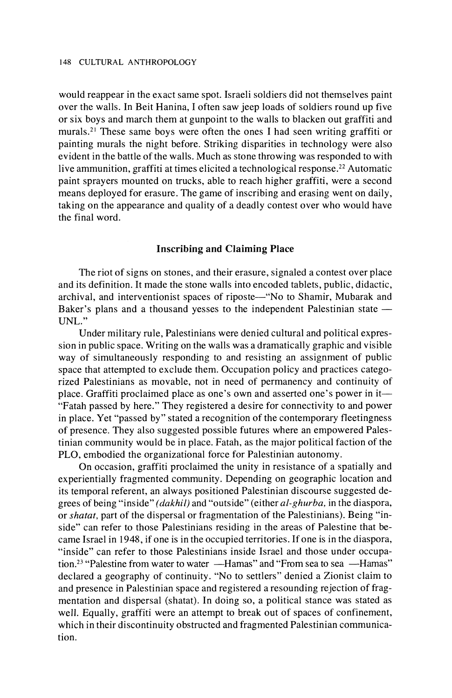**would reappear in the exact same spot. Israeli soldiers did not themselves paint over the walls. In Beit Hanina, I often saw jeep loads of soldiers round up five or six boys and march them at gunpoint to the walls to blacken out graffiti and murals.21 These same boys were often the ones I had seen writing graffiti or painting murals the night before. Striking disparities in technology were also evident in the battle of the walls. Much as stone throwing was responded to with live ammunition, graffiti at times elicited a technological response.22 Automatic paint sprayers mounted on trucks, able to reach higher graffiti, were a second means deployed for erasure. The game of inscribing and erasing went on daily, taking on the appearance and quality of a deadly contest over who would have the final word.** 

# **Inscribing and Claiming Place**

**The riot of signs on stones, and their erasure, signaled a contest over place and its definition. It made the stone walls into encoded tablets, public, didactic,**  archival, and interventionist spaces of riposte-"No to Shamir, Mubarak and **Baker's plans and a thousand yesses to the independent Palestinian state UNL."** 

**Under military rule, Palestinians were denied cultural and political expression in public space. Writing on the walls was a dramatically graphic and visible way of simultaneously responding to and resisting an assignment of public space that attempted to exclude them. Occupation policy and practices categorized Palestinians as movable, not in need of permanency and continuity of**  place. Graffiti proclaimed place as one's own and asserted one's power in it-**"Fatah passed by here." They registered a desire for connectivity to and power in place. Yet "passed by" stated a recognition of the contemporary fleetingness of presence. They also suggested possible futures where an empowered Palestinian community would be in place. Fatah, as the major political faction of the PLO, embodied the organizational force for Palestinian autonomy.** 

**On occasion, graffiti proclaimed the unity in resistance of a spatially and experientially fragmented community. Depending on geographic location and its temporal referent, an always positioned Palestinian discourse suggested degrees of being "inside" (dakhil) and "outside" (either al-ghurba, in the diaspora, or shatat, part of the dispersal or fragmentation of the Palestinians). Being "inside" can refer to those Palestinians residing in the areas of Palestine that became Israel in 1948, if one is in the occupied territories. If one is in the diaspora, "inside" can refer to those Palestinians inside Israel and those under occupa**tion.<sup>23</sup> "Palestine from water to water -Hamas" and "From sea to sea -Hamas" **declared a geography of continuity. "No to settlers" denied a Zionist claim to and presence in Palestinian space and registered a resounding rejection of fragmentation and dispersal (shatat). In doing so, a political stance was stated as well. Equally, graffiti were an attempt to break out of spaces of confinement, which in their discontinuity obstructed and fragmented Palestinian communication.**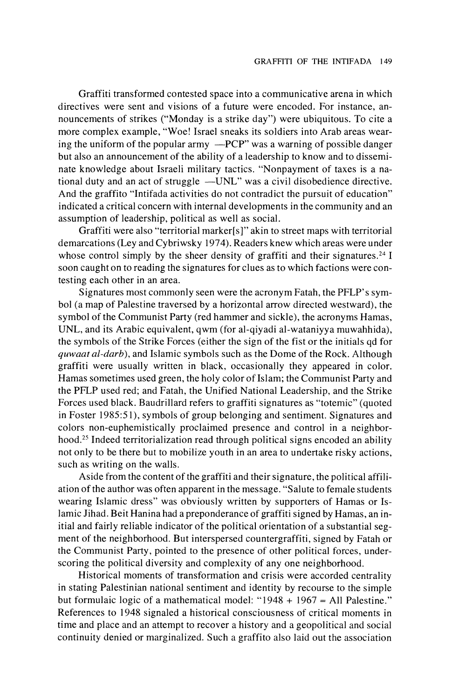**Graffiti transformed contested space into a communicative arena in which directives were sent and visions of a future were encoded. For instance, announcements of strikes ("Monday is a strike day") were ubiquitous. To cite a more complex example, "Woe! Israel sneaks its soldiers into Arab areas wear**ing the uniform of the popular army -PCP" was a warning of possible danger **but also an announcement of the ability of a leadership to know and to disseminate knowledge about Israeli military tactics. "Nonpayment of taxes is a na**tional duty and an act of struggle -UNL" was a civil disobedience directive. **And the graffito "Intifada activities do not contradict the pursuit of education" indicated a critical concern with internal developments in the community and an assumption of leadership, political as well as social.** 

**Graffiti were also "territorial marker[s]" akin to street maps with territorial demarcations (Ley and Cybriwsky 1974). Readers knew which areas were under**  whose control simply by the sheer density of graffiti and their signatures.<sup>24</sup> I **soon caught on to reading the signatures for clues as to which factions were contesting each other in an area.** 

**Signatures most commonly seen were the acronym Fatah, the PFLP's symbol (a map of Palestine traversed by a horizontal arrow directed westward), the symbol of the Communist Party (red hammer and sickle), the acronyms Hamas, UNL, and its Arabic equivalent, qwm (for al-qiyadi al-wataniyya muwahhida), the symbols of the Strike Forces (either the sign of the fist or the initials qd for quwaat al-darb), and Islamic symbols such as the Dome of the Rock. Although graffiti were usually written in black, occasionally they appeared in color. Hamas sometimes used green, the holy color of Islam; the Communist Party and the PFLP used red; and Fatah, the Unified National Leadership, and the Strike Forces used black. Baudrillard refers to graffiti signatures as "totemic" (quoted in Foster 1985:51), symbols of group belonging and sentiment. Signatures and colors non-euphemistically proclaimed presence and control in a neighborhood.25 Indeed territorialization read through political signs encoded an ability not only to be there but to mobilize youth in an area to undertake risky actions, such as writing on the walls.** 

**Aside from the content of the graffiti and their signature, the political affiliation of the author was often apparent in the message. "Salute to female students wearing Islamic dress" was obviously written by supporters of Hamas or Islamic Jihad. Beit Hanina had a preponderance of graffiti signed by Hamas, an initial and fairly reliable indicator of the political orientation of a substantial segment of the neighborhood. But interspersed countergraffiti, signed by Fatah or the Communist Party, pointed to the presence of other political forces, underscoring the political diversity and complexity of any one neighborhood.** 

**Historical moments of transformation and crisis were accorded centrality in stating Palestinian national sentiment and identity by recourse to the simple but formulaic logic of a mathematical model: "1948 + 1967 = All Palestine." References to 1948 signaled a historical consciousness of critical moments in time and place and an attempt to recover a history and a geopolitical and social continuity denied or marginalized. Such a graffito also laid out the association**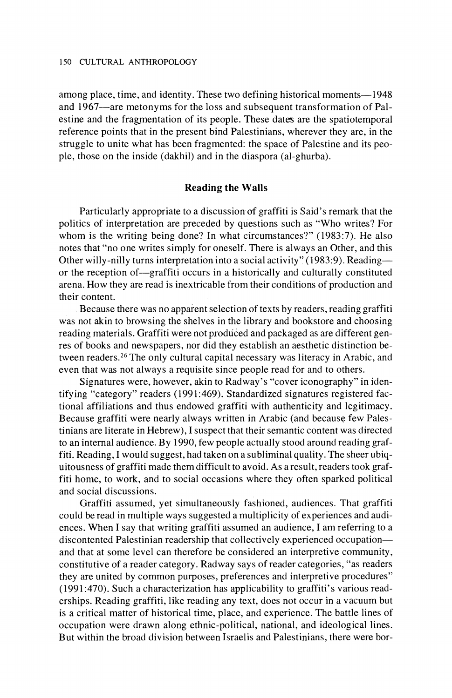**among place, time, and identity. These two defining historical moments-1948 and 1967-are metonyms for the loss and subsequent transformation of Palestine and the fragmentation of its people. These dates are the spatiotemporal reference points that in the present bind Palestinians, wherever they are, in the struggle to unite what has been fragmented: the space of Palestine and its people, those on the inside (dakhil) and in the diaspora (al-ghurba).** 

#### **Reading the Walls**

**Particularly appropriate to a discussion of graffiti is Said's remark that the politics of interpretation are preceded by questions such as "Who writes? For whom is the writing being done? In what circumstances?" (1983:7). He also notes that "no one writes simply for oneself. There is always an Other, and this Other willy-nilly turns interpretation into a social activity" (1983:9). Readingor the reception of-graffiti occurs in a historically and culturally constituted arena. How they are read is inextricable from their conditions of production and their content.** 

**Because there was no apparent selection of texts by readers, reading graffiti was not akin to browsing the shelves in the library and bookstore and choosing reading materials. Graffiti were not prodticed and packaged as are different genres of books and newspapers, nor did they establish an aesthetic distinction between readers.26 The only cultural capital necessary was literacy in Arabic, and even that was not always a requisite since people read for and to others.** 

**Signatures were, however, akin to Radway's "cover iconography" in identifying "category" readers (1991:469). Standardized signatures registered factional affiliations and thus endowed graffiti with authenticity and legitimacy. Because graffiti were nearly always written in Arabic (and because few Palestinians are literate in Hebrew), I suspect that their semantic content was directed to an internal audience. By 1990, few people actually stood around reading graffiti. Reading, I would suggest, had taken on a subliminal quality. The sheer ubiquitousness of graffiti made them difficult to avoid. As a result, readers took graffiti home, to work, and to social occasions where they often sparked political and social discussions.** 

**Graffiti assumed, yet simultaneously fashioned, audiences. That graffiti could be read in multiple ways suggested a multiplicity of experiences and audiences. When I say that writing graffiti assumed an audience, I am referring to a discontented Palestinian readership that collectively experienced occupationand that at some level can therefore be considered an interpretive community, constitutive of a reader category. Radway says of reader categories, "as readers they are united by common purposes, preferences and interpretive procedures" (1991:470). Such a characterization has applicability to graffiti's various readerships. Reading graffiti, like reading any text, does not occur in a vacuum but is a critical matter of historical time, place, and experience. The battle lines of occupation were drawn along ethnic-political, national, and ideological lines. But within the broad division between Israelis and Palestinians, there were bor-**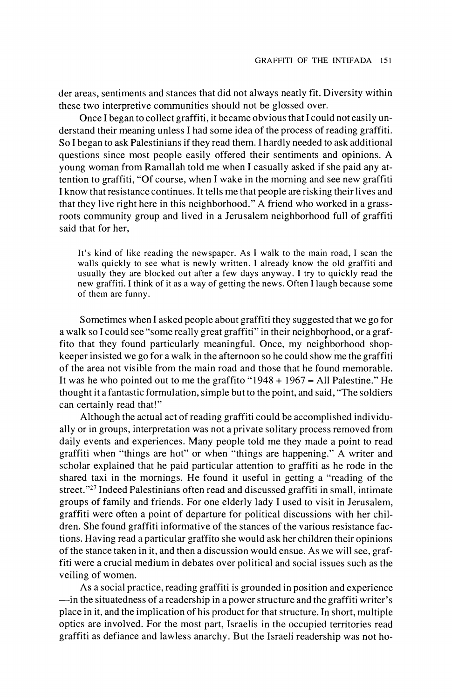**der areas, sentiments and stances that did not always neatly fit. Diversity within these two interpretive communities should not be glossed over.** 

**Once I began to collect graffiti, it became obvious that I could not easily understand their meaning unless I had some idea of the process of reading graffiti. So I began to ask Palestinians if they read them. I hardly needed to ask additional questions since most people easily offered their sentiments and opinions. A young woman from Ramallah told me when I casually asked if she paid any attention to graffiti, "Of course, when I wake in the morning and see new graffiti I know that resistance continues. It tells me that people are risking their lives and that they live right here in this neighborhood." A friend who worked in a grassroots community group and lived in a Jerusalem neighborhood full of graffiti said that for her,** 

**It's kind of like reading the newspaper. As I walk to the main road, I scan the walls quickly to see what is newly written. I already know the old graffiti and usually they are blocked out after a few days anyway. I try to quickly read the new graffiti. I think of it as a way of getting the news. Often I laugh because some of them are funny.** 

**Sometimes when I asked people about graffiti they suggested that we go for a walk so I could see "some really great graffiti" in their neighborhood, or a graffito that they found particularly meaningful. Once, my neighborhood shopkeeper insisted we go for a walk in the afternoon so he could show me the graffiti of the area not visible from the main road and those that he found memorable. It was he who pointed out to me the graffito "1948 + 1967 = All Palestine." He thought it a fantastic formulation, simple but to the point, and said, "The soldiers can certainly read that!"** 

**Although the actual act of reading graffiti could be accomplished individually or in groups, interpretation was not a private solitary process removed from daily events and experiences. Many people told me they made a point to read graffiti when "things are hot" or when "things are happening." A writer and scholar explained that he paid particular attention to graffiti as he rode in the shared taxi in the mornings. He found it useful in getting a "reading of the street."27 Indeed Palestinians often read and discussed graffiti in small, intimate groups of family and friends. For one elderly lady I used to visit in Jerusalem, graffiti were often a point of departure for political discussions with her children. She found graffiti informative of the stances of the various resistance factions. Having read a particular graffito she would ask her children their opinions of the stance taken in it, and then a discussion would ensue. As we will see, graffiti were a crucial medium in debates over political and social issues such as the veiling of women.** 

**As a social practice, reading graffiti is grounded in position and experience -in the situatedness of a readership in a power structure and the graffiti writer's place in it, and the implication of his product for that structure. In short, multiple optics are involved. For the most part, Israelis in the occupied territories read graffiti as defiance and lawless anarchy. But the Israeli readership was not ho-**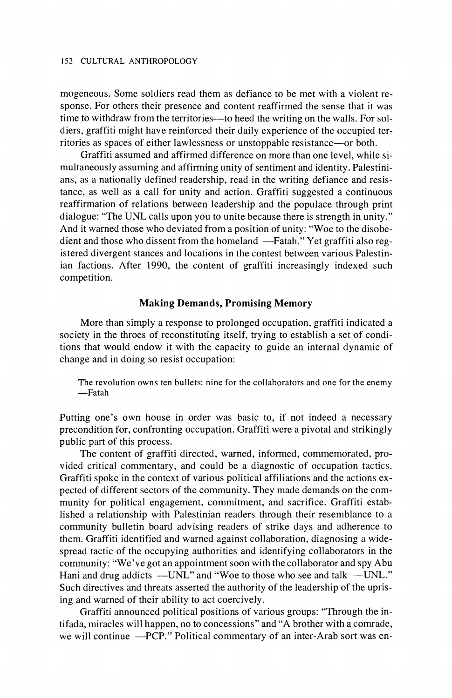**mogeneous. Some soldiers read them as defiance to be met with a violent response. For others their presence and content reaffirmed the sense that it was**  time to withdraw from the territories—to heed the writing on the walls. For sol**diers, graffiti might have reinforced their daily experience of the occupied territories as spaces of either lawlessness or unstoppable resistance-or both.** 

**Graffiti assumed and affirmed difference on more than one level, while simultaneously assuming and affirming unity of sentiment and identity. Palestinians, as a nationally defined readership, read in the writing defiance and resistance, as well as a call for unity and action. Graffiti suggested a continuous reaffirmation of relations between leadership and the populace through print dialogue: "The UNL calls upon you to unite because there is strength in unity." And it warned those who deviated from a position of unity: "Woe to the disobe**dient and those who dissent from the homeland -Fatah." Yet graffiti also reg**istered divergent stances and locations in the contest between various Palestinian factions. After 1990, the content of graffiti increasingly indexed such competition.** 

## **Making Demands, Promising Memory**

**More than simply a response to prolonged occupation, graffiti indicated a society in the throes of reconstituting itself, trying to establish a set of conditions that would endow it with the capacity to guide an internal dynamic of change and in doing so resist occupation:** 

**The revolution owns ten bullets: nine for the collaborators and one for the enemy -Fatah** 

**Putting one's own house in order was basic to, if not indeed a necessary precondition for, confronting occupation. Graffiti were a pivotal and strikingly public part of this process.** 

**The content of graffiti directed, warned, informed, commemorated, provided critical commentary, and could be a diagnostic of occupation tactics. Graffiti spoke in the context of various political affiliations and the actions expected of different sectors of the community. They made demands on the community for political engagement, commitment, and sacrifice. Graffiti established a relationship with Palestinian readers through their resemblance to a community bulletin board advising readers of strike days and adherence to them. Graffiti identified and warned against collaboration, diagnosing a widespread tactic of the occupying authorities and identifying collaborators in the community: "We've got an appointment soon with the collaborator and spy Abu**  Hani and drug addicts —UNL" and "Woe to those who see and talk —UNL." **Such directives and threats asserted the authority of the leadership of the uprising and warned of their ability to act coercively.** 

**Graffiti announced political positions of various groups: "Through the intifada, miracles will happen, no to concessions" and "A brother with a comrade,**  we will continue -PCP." Political commentary of an inter-Arab sort was en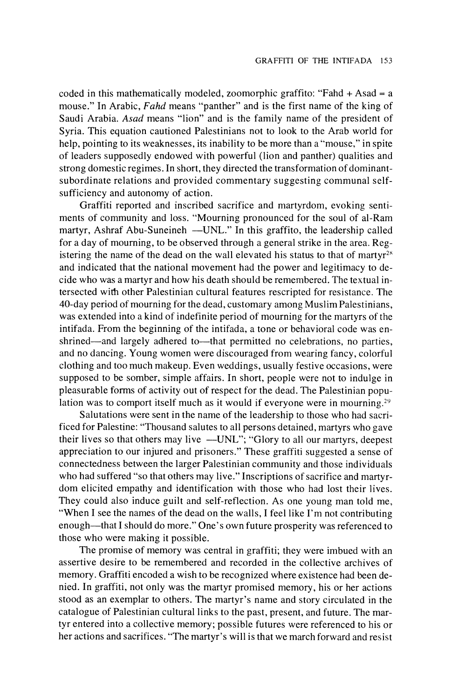**coded in this mathematically modeled, zoomorphic graffito: "Fahd + Asad = a mouse." In Arabic, Fahd means "panther" and is the first name of the king of Saudi Arabia. Asad means "lion" and is the family name of the president of Syria. This equation cautioned Palestinians not to look to the Arab world for help, pointing to its weaknesses, its inability to be more than a "mouse," in spite of leaders supposedly endowed with powerful (lion and panther) qualities and strong domestic regimes. In short, they directed the transformation of dominantsubordinate relations and provided commentary suggesting communal selfsufficiency and autonomy of action.** 

**Graffiti reported and inscribed sacrifice and martyrdom, evoking sentiments of community and loss. "Mourning pronounced for the soul of al-Ram**  martyr, Ashraf Abu-Suneineh —UNL." In this graffito, the leadership called **for a day of mourning, to be observed through a general strike in the area. Reg**istering the name of the dead on the wall elevated his status to that of martyr<sup>28</sup> **and indicated that the national movement had the power and legitimacy to decide who was a martyr and how his death should be remembered. The textual intersected with other Palestinian cultural features rescripted for resistance. The 40-day period of mourning for the dead, customary among Muslim Palestinians, was extended into a kind of indefinite period of mourning for the martyrs of the intifada. From the beginning of the intifada, a tone or behavioral code was en**shrined—and largely adhered to—that permitted no celebrations, no parties, **and no dancing. Young women were discouraged from wearing fancy, colorful clothing and too much makeup. Even weddings, usually festive occasions, were supposed to be somber, simple affairs. In short, people were not to indulge in pleasurable forms of activity out of respect for the dead. The Palestinian population was to comport itself much as it would if everyone were in mourning.29** 

**Salutations were sent in the name of the leadership to those who had sacrificed for Palestine: "Thousand salutes to all persons detained, martyrs who gave**  their lives so that others may live -UNL"; "Glory to all our martyrs, deepest **appreciation to our injured and prisoners." These graffiti suggested a sense of connectedness between the larger Palestinian community and those individuals who had suffered "so that others may live." Inscriptions of sacrifice and martyrdom elicited empathy and identification with those who had lost their lives. They could also induce guilt and self-reflection. As one young man told me, "When I see the names of the dead on the walls, I feel like I'm not contributing enough-that I should do more." One's own future prosperity was referenced to those who were making it possible.** 

**The promise of memory was central in graffiti; they were imbued with an assertive desire to be remembered and recorded in the collective archives of memory. Graffiti encoded a wish to be recognized where existence had been denied. In graffiti, not only was the martyr promised memory, his or her actions stood as an exemplar to others. The martyr's name and story circulated in the catalogue of Palestinian cultural links to the past, present, and future. The martyr entered into a collective memory; possible futures were referenced to his or her actions and sacrifices. "The martyr's will is that we march forward and resist**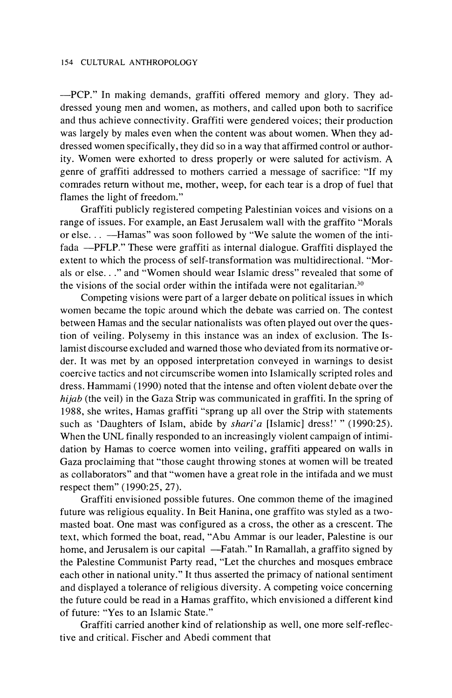**-PCP." In making demands, graffiti offered memory and glory. They addressed young men and women, as mothers, and called upon both to sacrifice and thus achieve connectivity. Graffiti were gendered voices; their production was largely by males even when the content was about women. When they addressed women specifically, they did so in a way that affirmed control or authority. Women were exhorted to dress properly or were saluted for activism. A genre of graffiti addressed to mothers carried a message of sacrifice: "If my comrades return without me, mother, weep, for each tear is a drop of fuel that flames the light of freedom."** 

**Graffiti publicly registered competing Palestinian voices and visions on a range of issues. For example, an East Jerusalem wall with the graffito "Morals or else. .. -Hamas" was soon followed by "We salute the women of the intifada -PFLP." These were graffiti as internal dialogue. Graffiti displayed the extent to which the process of self-transformation was multidirectional. "Morals or else.. ." and "Women should wear Islamic dress" revealed that some of the visions of the social order within the intifada were not egalitarian.30** 

**Competing visions were part of a larger debate on political issues in which women became the topic around which the debate was carried on. The contest between Hamas and the secular nationalists was often played out over the question of veiling. Polysemy in this instance was an index of exclusion. The Islamist discourse excluded and warned those who deviated from its normative order. It was met by an opposed interpretation conveyed in warnings to desist coercive tactics and not circumscribe women into Islamically scripted roles and dress. Hammami (1990) noted that the intense and often violent debate over the hijab (the veil) in the Gaza Strip was communicated in graffiti. In the spring of 1988, she writes, Hamas graffiti "sprang up all over the Strip with statements such as 'Daughters of Islam, abide by shari'a [Islamic] dress!' " (1990:25). When the UNL finally responded to an increasingly violent campaign of intimidation by Hamas to coerce women into veiling, graffiti appeared on walls in Gaza proclaiming that "those caught throwing stones at women will be treated as collaborators" and that "women have a great role in the intifada and we must respect them" (1990:25, 27).** 

**Graffiti envisioned possible futures. One common theme of the imagined future was religious equality. In Beit Hanina, one graffito was styled as a twomasted boat. One mast was configured as a cross, the other as a crescent. The text, which formed the boat, read, "Abu Ammar is our leader, Palestine is our**  home, and Jerusalem is our capital -Fatah." In Ramallah, a graffito signed by **the Palestine Communist Party read, "Let the churches and mosques embrace each other in national unity." It thus asserted the primacy of national sentiment and displayed a tolerance of religious diversity. A competing voice concerning the future could be read in a Hamas graffito, which envisioned a different kind of future: "Yes to an Islamic State."** 

**Graffiti carried another kind of relationship as well, one more self-reflective and critical. Fischer and Abedi comment that**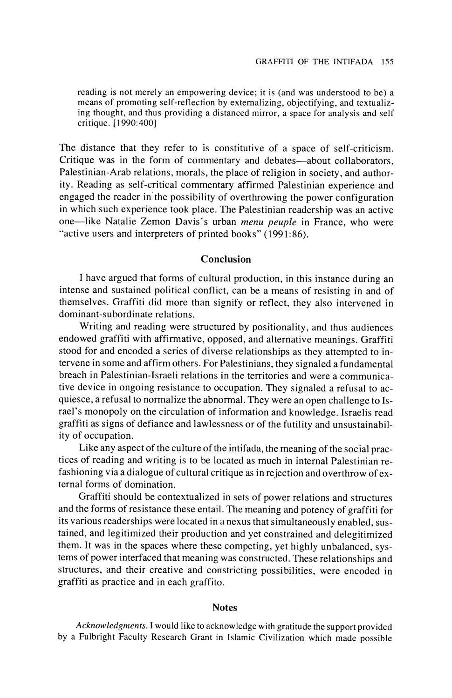**reading is not merely an empowering device; it is (and was understood to be) a means of promoting self-reflection by externalizing, objectifying, and textualizing thought, and thus providing a distanced mirror, a space for analysis and self critique. [1990:400]** 

**The distance that they refer to is constitutive of a space of self-criticism. Critique was in the form of commentary and debates-about collaborators, Palestinian-Arab relations, morals, the place of religion in society, and authority. Reading as self-critical commentary affirmed Palestinian experience and engaged the reader in the possibility of overthrowing the power configuration in which such experience took place. The Palestinian readership was an active one-like Natalie Zemon Davis's urban menu peuple in France, who were "active users and interpreters of printed books" (1991:86).** 

## **Conclusion**

**I have argued that forms of cultural production, in this instance during an intense and sustained political conflict, can be a means of resisting in and of themselves. Graffiti did more than signify or reflect, they also intervened in dominant-subordinate relations.** 

**Writing and reading were structured by positionality, and thus audiences endowed graffiti with affirmative, opposed, and alternative meanings. Graffiti stood for and encoded a series of diverse relationships as they attempted to intervene in some and affirm others. For Palestinians, they signaled a fundamental breach in Palestinian-Israeli relations in the territories and were a communicative device in ongoing resistance to occupation. They signaled a refusal to acquiesce, a refusal to normalize the abnormal. They were an open challenge to Israel's monopoly on the circulation of information and knowledge. Israelis read graffiti as signs of defiance and lawlessness or of the futility and unsustainability of occupation.** 

**Like any aspect of the culture of the intifada, the meaning of the social practices of reading and writing is to be located as much in internal Palestinian refashioning via a dialogue of cultural critique as in rejection and overthrow of external forms of domination.** 

**Graffiti should be contextualized in sets of power relations and structures and the forms of resistance these entail. The meaning and potency of graffiti for its various readerships were located in a nexus that simultaneously enabled, sustained, and legitimized their production and yet constrained and delegitimized them. It was in the spaces where these competing, yet highly unbalanced, systems of power interfaced that meaning was constructed. These relationships and structures, and their creative and constricting possibilities, were encoded in graffiti as practice and in each graffito.** 

#### **Notes**

**Acknowledgments. I would like to acknowledge with gratitude the support provided by a Fulbright Faculty Research Grant in Islamic Civilization which made possible**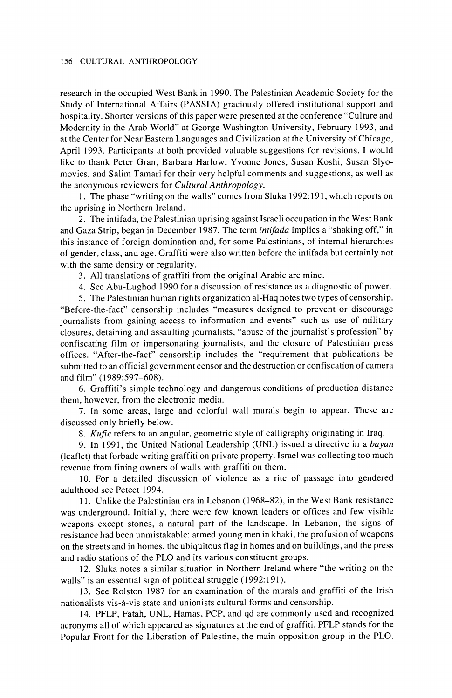**research in the occupied West Bank in 1990. The Palestinian Academic Society for the Study of International Affairs (PASSIA) graciously offered institutional support and hospitality. Shorter versions of this paper were presented at the conference "Culture and Modernity in the Arab World" at George Washington University, February 1993, and at the Center for Near Eastern Languages and Civilization at the University of Chicago, April 1993. Participants at both provided valuable suggestions for revisions. I would like to thank Peter Gran, Barbara Harlow, Yvonne Jones, Susan Koshi, Susan Slyomovics, and Salim Tamari for their very helpful comments and suggestions, as well as the anonymous reviewers for Cultural Anthropology.** 

**1. The phase "writing on the walls" comes from Sluka 1992:191, which reports on the uprising in Northern Ireland.** 

**2. The intifada, the Palestinian uprising against Israeli occupation in the West Bank and Gaza Strip, began in December 1987. The term intifada implies a "shaking off," in this instance of foreign domination and, for some Palestinians, of internal hierarchies of gender, class, and age. Graffiti were also written before the intifada but certainly not with the same density or regularity.** 

**3. All translations of graffiti from the original Arabic are mine.** 

**4. See Abu-Lughod 1990 for a discussion of resistance as a diagnostic of power.** 

**5. The Palestinian human rights organization al-Haq notes two types of censorship. "Before-the-fact" censorship includes "measures designed to prevent or discourage journalists from gaining access to information and events" such as use of military closures, detaining and assaulting journalists, "abuse of the journalist's profession" by confiscating film or impersonating journalists, and the closure of Palestinian press offices. "After-the-fact" censorship includes the "requirement that publications be submitted to an official government censor and the destruction or confiscation of camera and film" (1989:597-608).** 

**6. Graffiti's simple technology and dangerous conditions of production distance them, however, from the electronic media.** 

**7. In some areas, large and colorful wall murals begin to appear. These are discussed only briefly below.** 

**8. Kufic refers to an angular, geometric style of calligraphy originating in Iraq.** 

**9. In 1991, the United National Leadership (UNL) issued a directive in a bayan (leaflet) that forbade writing graffiti on private property. Israel was collecting too much revenue from fining owners of walls with graffiti on them.** 

**10. For a detailed discussion of violence as a rite of passage into gendered adulthood see Peteet 1994.** 

**11. Unlike the Palestinian era in Lebanon (1968-82), in the West Bank resistance was underground. Initially, there were few known leaders or offices and few visible weapons except stones, a natural part of the landscape. In Lebanon, the signs of resistance had been unmistakable: armed young men in khaki, the profusion of weapons on the streets and in homes, the ubiquitous flag in homes and on buildings, and the press and radio stations of the PLO and its various constituent groups.** 

**12. Sluka notes a similar situation in Northern Ireland where "the writing on the walls" is an essential sign of political struggle (1992:191).** 

**13. See Rolston 1987 for an examination of the murals and graffiti of the Irish nationalists vis-a-vis state and unionists cultural forms and censorship.** 

**14. PFLP, Fatah, UNL, Hamas, PCP, and qd are commonly used and recognized acronyms all of which appeared as signatures at the end of graffiti. PFLP stands for the Popular Front for the Liberation of Palestine, the main opposition group in the PLO.**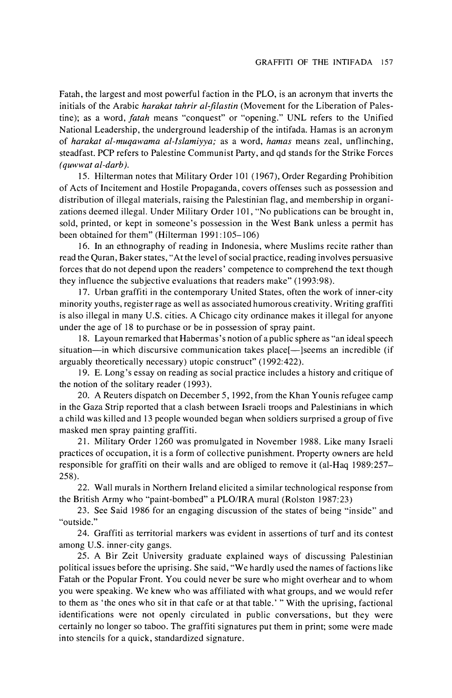**Fatah, the largest and most powerful faction in the PLO, is an acronym that inverts the initials of the Arabic harakat tahrir al-filastin (Movement for the Liberation of Palestine); as a word, fatah means "conquest" or "opening." UNL refers to the Unified National Leadership, the underground leadership of the intifada. Hamas is an acronym of harakat al-muqawama al-lslamiyya; as a word, hamas means zeal, unflinching, steadfast. PCP refers to Palestine Communist Party, and qd stands for the Strike Forces (quwwat al-darb).** 

**15. Hilterman notes that Military Order 101 (1967), Order Regarding Prohibition of Acts of Incitement and Hostile Propaganda, covers offenses such as possession and distribution of illegal materials, raising the Palestinian flag, and membership in organizations deemed illegal. Under Military Order 101, "No publications can be brought in, sold, printed, or kept in someone's possession in the West Bank unless a permit has been obtained for them" (Hilterman 1991:105-106)** 

**16. In an ethnography of reading in Indonesia, where Muslims recite rather than read the Quran, Baker states, "At the level of social practice, reading involves persuasive forces that do not depend upon the readers' competence to comprehend the text though they influence the subjective evaluations that readers make" (1993:98).** 

**17. Urban graffiti in the contemporary United States, often the work of inner-city minority youths, register rage as well as associated humorous creativity. Writing graffiti is also illegal in many U.S. cities. A Chicago city ordinance makes it illegal for anyone under the age of 18 to purchase or be in possession of spray paint.** 

**18. Layoun remarked that Habermas's notion of a public sphere as "an ideal speech**  situation-in which discursive communication takes place<sup>[-1]</sup>seems an incredible (if **arguably theoretically necessary) utopic construct" (1992:422).** 

**19. E. Long's essay on reading as social practice includes a history and critique of the notion of the solitary reader (1993).** 

**20. A Reuters dispatch on December 5, 1992, from the Khan Younis refugee camp in the Gaza Strip reported that a clash between Israeli troops and Palestinians in which a child was killed and 13 people wounded began when soldiers surprised a group of five masked men spray painting graffiti.** 

**21. Military Order 1260 was promulgated in November 1988. Like many Israeli practices of occupation, it is a form of collective punishment. Property owners are held responsible for graffiti on their walls and are obliged to remove it (al-Haq 1989:257- 258).** 

**22. Wall murals in Northern Ireland elicited a similar technological response from the British Army who "paint-bombed" a PLO/IRA mural (Rolston 1987:23)** 

**23. See Said 1986 for an engaging discussion of the states of being "inside" and "outside."** 

**24. Graffiti as territorial markers was evident in assertions of turf and its contest among U.S. inner-city gangs.** 

**25. A Bir Zeit University graduate explained ways of discussing Palestinian political issues before the uprising. She said, "We hardly used the names of factions like Fatah or the Popular Front. You could never be sure who might overhear and to whom you were speaking. We knew who was affiliated with what groups, and we would refer to them as 'the ones who sit in that cafe or at that table.' " With the uprising, factional identifications were not openly circulated in public conversations, but they were certainly no longer so taboo. The graffiti signatures put them in print; some were made into stencils for a quick, standardized signature.**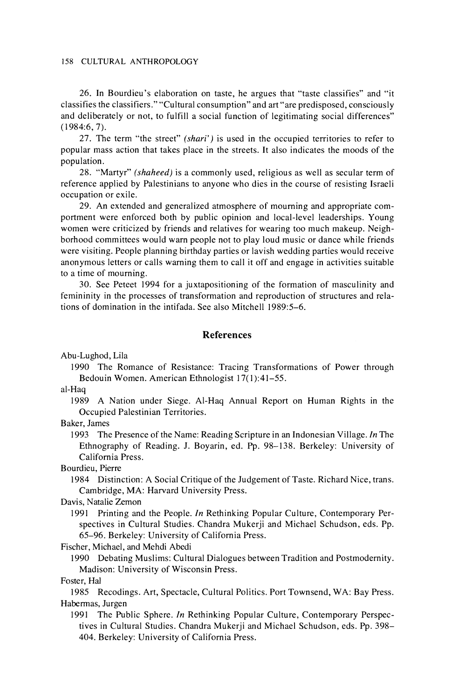**26. In Bourdieu's elaboration on taste, he argues that "taste classifies" and "it classifies the classifiers." "Cultural consumption" and art "are predisposed, consciously and deliberately or not, to fulfill a social function of legitimating social differences" (1984:6, 7).** 

**27. The term "the street" (shari') is used in the occupied territories to refer to popular mass action that takes place in the streets. It also indicates the moods of the population.** 

**28. "Martyr" (shaheed) is a commonly used, religious as well as secular term of reference applied by Palestinians to anyone who dies in the course of resisting Israeli occupation or exile.** 

**29. An extended and generalized atmosphere of mourning and appropriate comportment were enforced both by public opinion and local-level leaderships. Young women were criticized by friends and relatives for wearing too much makeup. Neighborhood committees would warn people not to play loud music or dance while friends were visiting. People planning birthday parties or lavish wedding parties would receive anonymous letters or calls warning them to call it off and engage in activities suitable to a time of mourning.** 

**30. See Peteet 1994 for a juxtapositioning of the formation of masculinity and femininity in the processes of transformation and reproduction of structures and relations of domination in the intifada. See also Mitchell 1989:5-6.** 

# **References**

**Abu-Lughod, Lila** 

**1990 The Romance of Resistance: Tracing Transformations of Power through Bedouin Women. American Ethnologist 17(1):41-55.** 

**al-Haq** 

**1989 A Nation under Siege. Al-Haq Annual Report on Human Rights in the Occupied Palestinian Territories.** 

**Baker, James** 

**1993 The Presence of the Name: Reading Scripture in an Indonesian Village. In The Ethnography of Reading. J. Boyarin, ed. Pp. 98-138. Berkeley: University of California Press.** 

**Bourdieu, Pierre** 

**1984 Distinction: A Social Critique of the Judgement of Taste. Richard Nice, trans. Cambridge, MA: Harvard University Press.** 

**Davis, Natalie Zemon** 

**1991 Printing and the People. In Rethinking Popular Culture, Contemporary Perspectives in Cultural Studies. Chandra Mukerji and Michael Schudson, eds. Pp. 65-96. Berkeley: University of California Press.** 

**Fischer, Michael, and Mehdi Abedi** 

**1990 Debating Muslims: Cultural Dialogues between Tradition and Postmodernity. Madison: University of Wisconsin Press.** 

**Foster, Hal** 

**1985 Recodings. Art, Spectacle, Cultural Politics. Port Townsend, WA: Bay Press. Habermas, Jurgen** 

**1991 The Public Sphere. In Rethinking Popular Culture, Contemporary Perspectives in Cultural Studies. Chandra Mukerji and Michael Schudson, eds. Pp. 398- 404. Berkeley: University of California Press.**